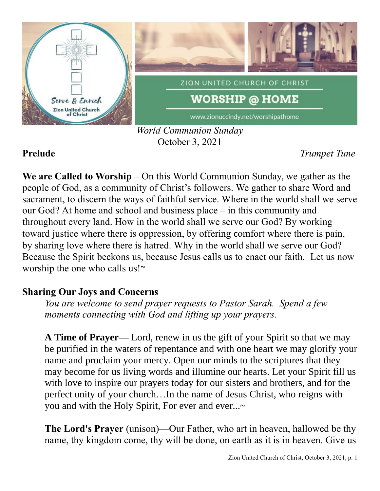

### *World Communion Sunday* October 3, 2021

**Prelude** *Trumpet Tune*

**We are Called to Worship** – On this World Communion Sunday, we gather as the people of God, as a community of Christ's followers. We gather to share Word and sacrament, to discern the ways of faithful service. Where in the world shall we serve our God? At home and school and business place – in this community and throughout every land. How in the world shall we serve our God? By working toward justice where there is oppression, by offering comfort where there is pain, by sharing love where there is hatred. Why in the world shall we serve our God? Because the Spirit beckons us, because Jesus calls us to enact our faith. Let us now worship the one who calls us!~

# **Sharing Our Joys and Concerns**

*You are welcome to send prayer requests to Pastor Sarah. Spend a few moments connecting with God and lifting up your prayers.*

**A Time of Prayer—** Lord, renew in us the gift of your Spirit so that we may be purified in the waters of repentance and with one heart we may glorify your name and proclaim your mercy. Open our minds to the scriptures that they may become for us living words and illumine our hearts. Let your Spirit fill us with love to inspire our prayers today for our sisters and brothers, and for the perfect unity of your church…In the name of Jesus Christ, who reigns with you and with the Holy Spirit, For ever and ever...~

**The Lord's Prayer** (unison)—Our Father, who art in heaven, hallowed be thy name, thy kingdom come, thy will be done, on earth as it is in heaven. Give us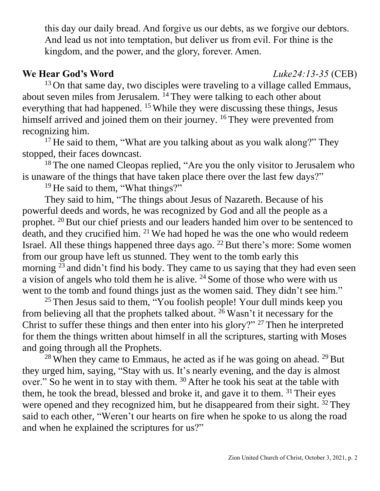this day our daily bread. And forgive us our debts, as we forgive our debtors. And lead us not into temptation, but deliver us from evil. For thine is the kingdom, and the power, and the glory, forever. Amen.

### **We Hear God's Word** *Luke24:13-35* (CEB)

 $13$  On that same day, two disciples were traveling to a village called Emmaus, about seven miles from Jerusalem. <sup>14</sup> They were talking to each other about everything that had happened. <sup>15</sup> While they were discussing these things, Jesus himself arrived and joined them on their journey. <sup>16</sup> They were prevented from recognizing him.

<sup>17</sup> He said to them, "What are you talking about as you walk along?" They stopped, their faces downcast.

<sup>18</sup> The one named Cleopas replied, "Are you the only visitor to Jerusalem who is unaware of the things that have taken place there over the last few days?"

<sup>19</sup> He said to them, "What things?"

They said to him, "The things about Jesus of Nazareth. Because of his powerful deeds and words, he was recognized by God and all the people as a prophet. <sup>20</sup> But our chief priests and our leaders handed him over to be sentenced to death, and they crucified him. <sup>21</sup> We had hoped he was the one who would redeem Israel. All these things happened three days ago.  $^{22}$  But there's more: Some women from our group have left us stunned. They went to the tomb early this morning <sup>23</sup> and didn't find his body. They came to us saying that they had even seen a vision of angels who told them he is alive.  $24$  Some of those who were with us went to the tomb and found things just as the women said. They didn't see him."

<sup>25</sup> Then Jesus said to them, "You foolish people! Your dull minds keep you from believing all that the prophets talked about. <sup>26</sup> Wasn't it necessary for the Christ to suffer these things and then enter into his glory?" <sup>27</sup> Then he interpreted for them the things written about himself in all the scriptures, starting with Moses and going through all the Prophets.

<sup>28</sup> When they came to Emmaus, he acted as if he was going on ahead. <sup>29</sup> But they urged him, saying, "Stay with us. It's nearly evening, and the day is almost over." So he went in to stay with them. <sup>30</sup> After he took his seat at the table with them, he took the bread, blessed and broke it, and gave it to them.  $31$  Their eyes were opened and they recognized him, but he disappeared from their sight. <sup>32</sup> They said to each other, "Weren't our hearts on fire when he spoke to us along the road and when he explained the scriptures for us?"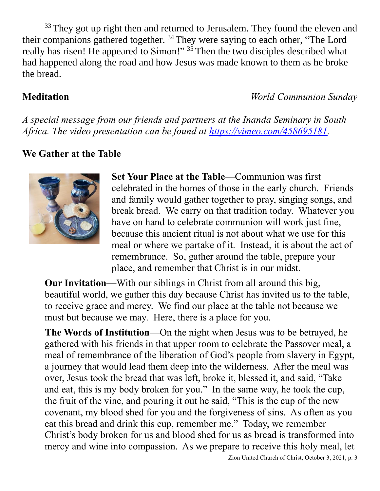<sup>33</sup> They got up right then and returned to Jerusalem. They found the eleven and their companions gathered together. <sup>34</sup> They were saying to each other, "The Lord really has risen! He appeared to Simon!" <sup>35</sup> Then the two disciples described what had happened along the road and how Jesus was made known to them as he broke the bread.

**Meditation** *World Communion Sunday*

*A special message from our friends and partners at the Inanda Seminary in South Africa. The video presentation can be found at [https://vimeo.com/458695181.](https://vimeo.com/458695181)*

## **We Gather at the Table**



**Set Your Place at the Table**—Communion was first celebrated in the homes of those in the early church. Friends and family would gather together to pray, singing songs, and break bread. We carry on that tradition today. Whatever you have on hand to celebrate communion will work just fine, because this ancient ritual is not about what we use for this meal or where we partake of it. Instead, it is about the act of remembrance. So, gather around the table, prepare your place, and remember that Christ is in our midst.

**Our Invitation—**With our siblings in Christ from all around this big, beautiful world, we gather this day because Christ has invited us to the table, to receive grace and mercy. We find our place at the table not because we must but because we may. Here, there is a place for you.

**The Words of Institution**—On the night when Jesus was to be betrayed, he gathered with his friends in that upper room to celebrate the Passover meal, a meal of remembrance of the liberation of God's people from slavery in Egypt, a journey that would lead them deep into the wilderness. After the meal was over, Jesus took the bread that was left, broke it, blessed it, and said, "Take and eat, this is my body broken for you." In the same way, he took the cup, the fruit of the vine, and pouring it out he said, "This is the cup of the new covenant, my blood shed for you and the forgiveness of sins. As often as you eat this bread and drink this cup, remember me." Today, we remember Christ's body broken for us and blood shed for us as bread is transformed into mercy and wine into compassion. As we prepare to receive this holy meal, let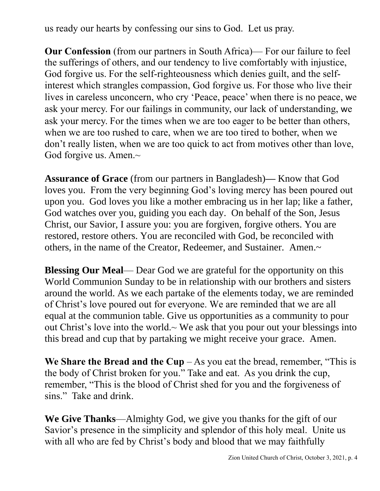us ready our hearts by confessing our sins to God. Let us pray.

**Our Confession** (from our partners in South Africa)— For our failure to feel the sufferings of others, and our tendency to live comfortably with injustice, God forgive us. For the self-righteousness which denies guilt, and the selfinterest which strangles compassion, God forgive us. For those who live their lives in careless unconcern, who cry 'Peace, peace' when there is no peace, we ask your mercy. For our failings in community, our lack of understanding, we ask your mercy. For the times when we are too eager to be better than others, when we are too rushed to care, when we are too tired to bother, when we don't really listen, when we are too quick to act from motives other than love, God forgive us. Amen.~

**Assurance of Grace** (from our partners in Bangladesh)**—** Know that God loves you. From the very beginning God's loving mercy has been poured out upon you. God loves you like a mother embracing us in her lap; like a father, God watches over you, guiding you each day. On behalf of the Son, Jesus Christ, our Savior, I assure you: you are forgiven, forgive others. You are restored, restore others. You are reconciled with God, be reconciled with others, in the name of the Creator, Redeemer, and Sustainer. Amen.~

**Blessing Our Meal**— Dear God we are grateful for the opportunity on this World Communion Sunday to be in relationship with our brothers and sisters around the world. As we each partake of the elements today, we are reminded of Christ's love poured out for everyone. We are reminded that we are all equal at the communion table. Give us opportunities as a community to pour out Christ's love into the world. $\sim$  We ask that you pour out your blessings into this bread and cup that by partaking we might receive your grace. Amen.

**We Share the Bread and the Cup**  $-$  As you eat the bread, remember, "This is the body of Christ broken for you." Take and eat. As you drink the cup, remember, "This is the blood of Christ shed for you and the forgiveness of sins." Take and drink.

**We Give Thanks**—Almighty God, we give you thanks for the gift of our Savior's presence in the simplicity and splendor of this holy meal. Unite us with all who are fed by Christ's body and blood that we may faithfully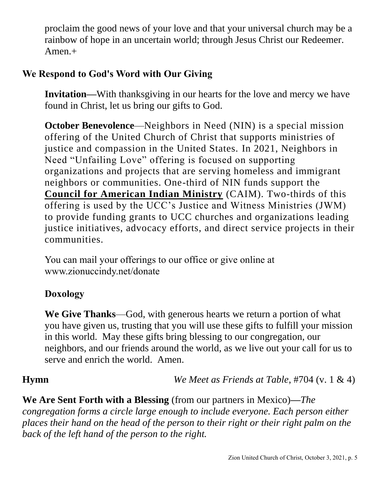proclaim the good news of your love and that your universal church may be a rainbow of hope in an uncertain world; through Jesus Christ our Redeemer. Amen.+

### **We Respond to God's Word with Our Giving**

**Invitation—**With thanksgiving in our hearts for the love and mercy we have found in Christ, let us bring our gifts to God.

**October Benevolence—Neighbors in Need (NIN) is a special mission** offering of the United Church of Christ that supports ministries of justice and compassion in the United States. In 2021, Neighbors in Need "Unfailing Love" offering is focused on supporting organizations and projects that are serving homeless and immigrant neighbors or communities. One-third of NIN funds support the **[Council for American Indian Ministry](http://www.ucc.org/faq_what_is_caim)** (CAIM). Two-thirds of this offering is used by the UCC's Justice and Witness Ministries (JWM) to provide funding grants to UCC churches and organizations leading justice initiatives, advocacy efforts, and direct service projects in their communities.

You can mail your offerings to our office or give online at www.zionuccindy.net/donate

# **Doxology**

**We Give Thanks**—God, with generous hearts we return a portion of what you have given us, trusting that you will use these gifts to fulfill your mission in this world. May these gifts bring blessing to our congregation, our neighbors, and our friends around the world, as we live out your call for us to serve and enrich the world. Amen.

**Hymn** *We Meet as Friends at Table*, #704 (v. 1 & 4)

**We Are Sent Forth with a Blessing** (from our partners in Mexico)**—***The congregation forms a circle large enough to include everyone. Each person either places their hand on the head of the person to their right or their right palm on the back of the left hand of the person to the right.*